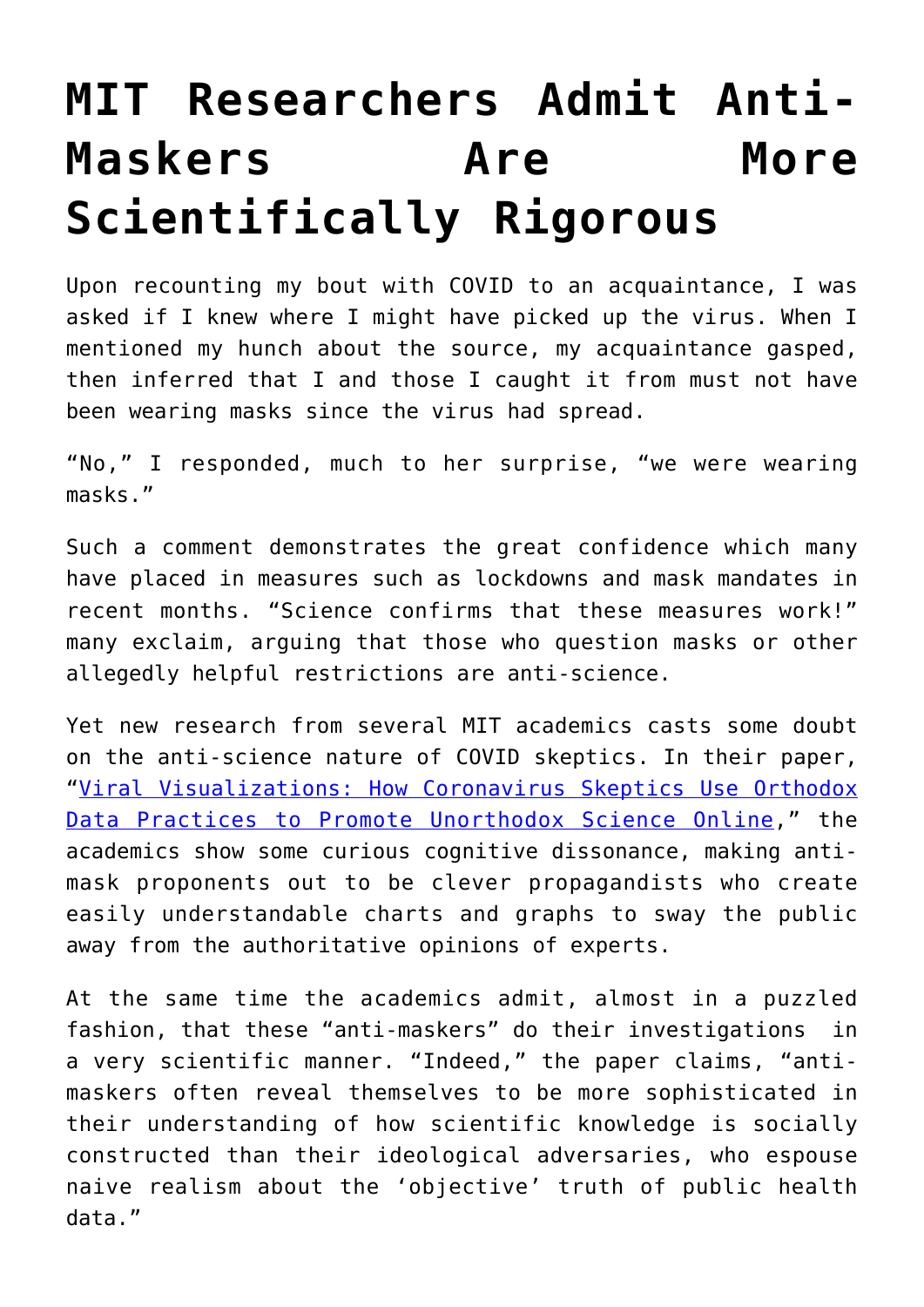## **[MIT Researchers Admit Anti-](https://intellectualtakeout.org/2021/05/mit-researchers-admit-anti-maskers-are-more-scientifically-rigorous/)[Maskers Are More](https://intellectualtakeout.org/2021/05/mit-researchers-admit-anti-maskers-are-more-scientifically-rigorous/) [Scientifically Rigorous](https://intellectualtakeout.org/2021/05/mit-researchers-admit-anti-maskers-are-more-scientifically-rigorous/)**

Upon recounting my bout with COVID to an acquaintance, I was asked if I knew where I might have picked up the virus. When I mentioned my hunch about the source, my acquaintance gasped, then inferred that I and those I caught it from must not have been wearing masks since the virus had spread.

"No," I responded, much to her surprise, "we were wearing masks."

Such a comment demonstrates the great confidence which many have placed in measures such as lockdowns and mask mandates in recent months. "Science confirms that these measures work!" many exclaim, arguing that those who question masks or other allegedly helpful restrictions are anti-science.

Yet new research from several MIT academics casts some doubt on the anti-science nature of COVID skeptics. In their paper, "[Viral Visualizations: How Coronavirus Skeptics Use Orthodox](https://arxiv.org/pdf/2101.07993.pdf) [Data Practices to Promote Unorthodox Science Online](https://arxiv.org/pdf/2101.07993.pdf)," the academics show some curious cognitive dissonance, making antimask proponents out to be clever propagandists who create easily understandable charts and graphs to sway the public away from the authoritative opinions of experts.

At the same time the academics admit, almost in a puzzled fashion, that these "anti-maskers" do their investigations in a very scientific manner. "Indeed," the paper claims, "antimaskers often reveal themselves to be more sophisticated in their understanding of how scientific knowledge is socially constructed than their ideological adversaries, who espouse naive realism about the 'objective' truth of public health data."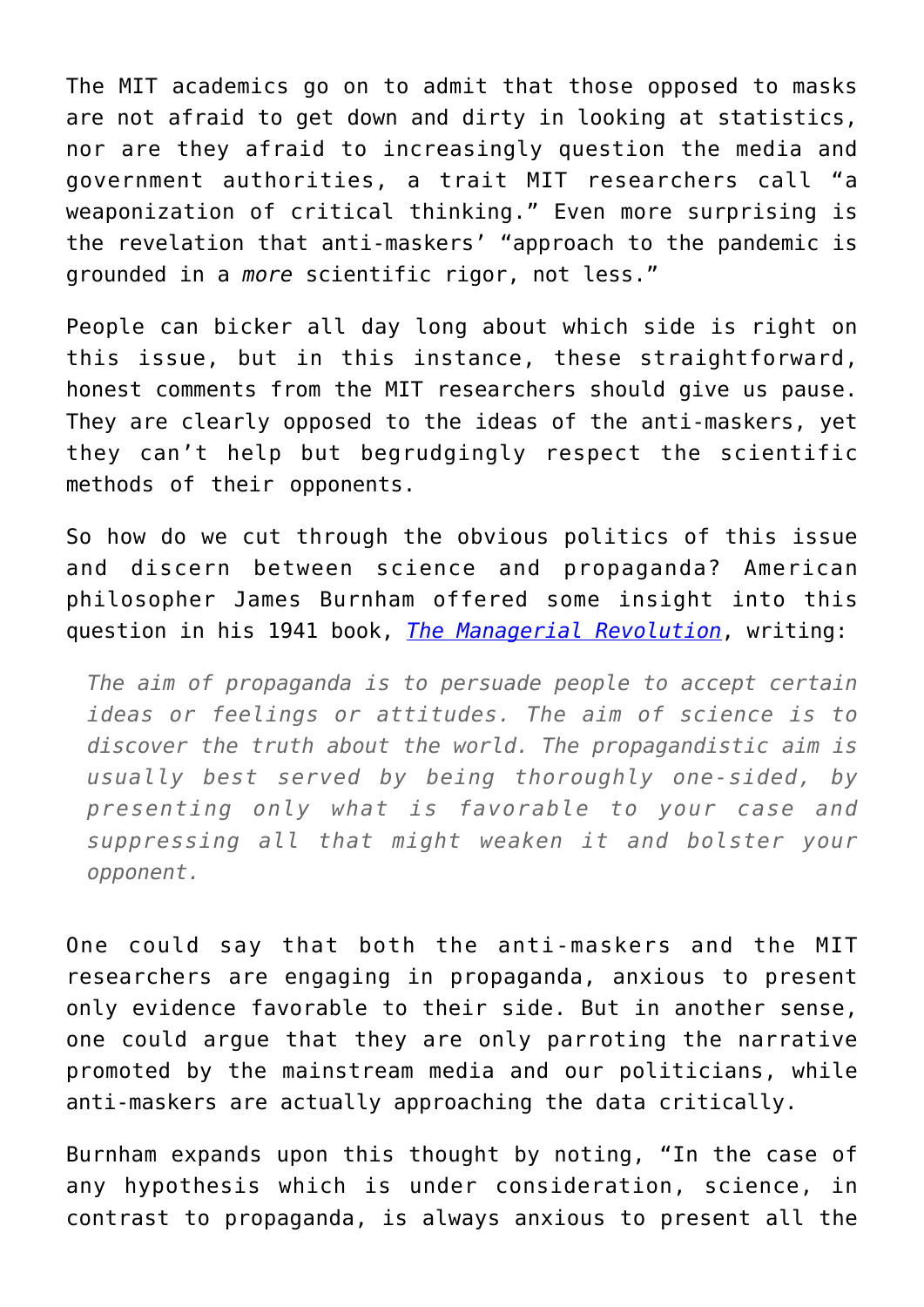The MIT academics go on to admit that those opposed to masks are not afraid to get down and dirty in looking at statistics, nor are they afraid to increasingly question the media and government authorities, a trait MIT researchers call "a weaponization of critical thinking." Even more surprising is the revelation that anti-maskers' "approach to the pandemic is grounded in a *more* scientific rigor, not less."

People can bicker all day long about which side is right on this issue, but in this instance, these straightforward, honest comments from the MIT researchers should give us pause. They are clearly opposed to the ideas of the anti-maskers, yet they can't help but begrudgingly respect the scientific methods of their opponents.

So how do we cut through the obvious politics of this issue and discern between science and propaganda? American philosopher James Burnham offered some insight into this question in his 1941 book, *[The Managerial Revolution](https://archive.org/details/in.ernet.dli.2015.46583)*, writing:

*The aim of propaganda is to persuade people to accept certain ideas or feelings or attitudes. The aim of science is to discover the truth about the world. The propagandistic aim is usually best served by being thoroughly one-sided, by presenting only what is favorable to your case and suppressing all that might weaken it and bolster your opponent.*

One could say that both the anti-maskers and the MIT researchers are engaging in propaganda, anxious to present only evidence favorable to their side. But in another sense, one could argue that they are only parroting the narrative promoted by the mainstream media and our politicians, while anti-maskers are actually approaching the data critically.

Burnham expands upon this thought by noting, "In the case of any hypothesis which is under consideration, science, in contrast to propaganda, is always anxious to present all the